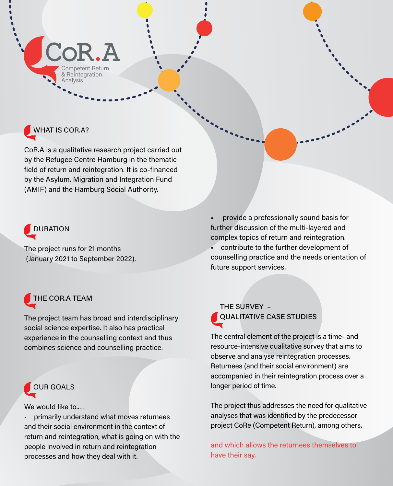

## WHAT IS COR.A?

CoR.A is a qualitative research project carried out by the Refugee Centre Hamburg in the thematic field of return and reintegration. It is co-financed by the Asylum, Migration and Integration Fund (AMIF) and the Hamburg Social Authority.

# DURATION

The project runs for 21 months (January 2021 to September 2022).

## THE COR.A TEAM

The project team has broad and interdisciplinary social science expertise. It also has practical experience in the counselling context and thus combines science and counselling practice.



We would like to......

• primarily understand what moves returnees and their social environment in the context of return and reintegration, what is going on with the people involved in return and reintegration processes and how they deal with it.

• provide a professionally sound basis for further discussion of the multi-layered and complex topics of return and reintegration.

• contribute to the further development of counselling practice and the needs orientation of future support services.

 THE SURVEY – QUALITATIVE CASE STUDIES

The central element of the project is a time- and resource-intensive qualitative survey that aims to observe and analyse reintegration processes. Returnees (and their social environment) are accompanied in their reintegration process over a longer period of time.

The project thus addresses the need for qualitative analyses that was identified by the predecessor project CoRe (Competent Return), among others,

and which allows the returnees themselves to have their say.